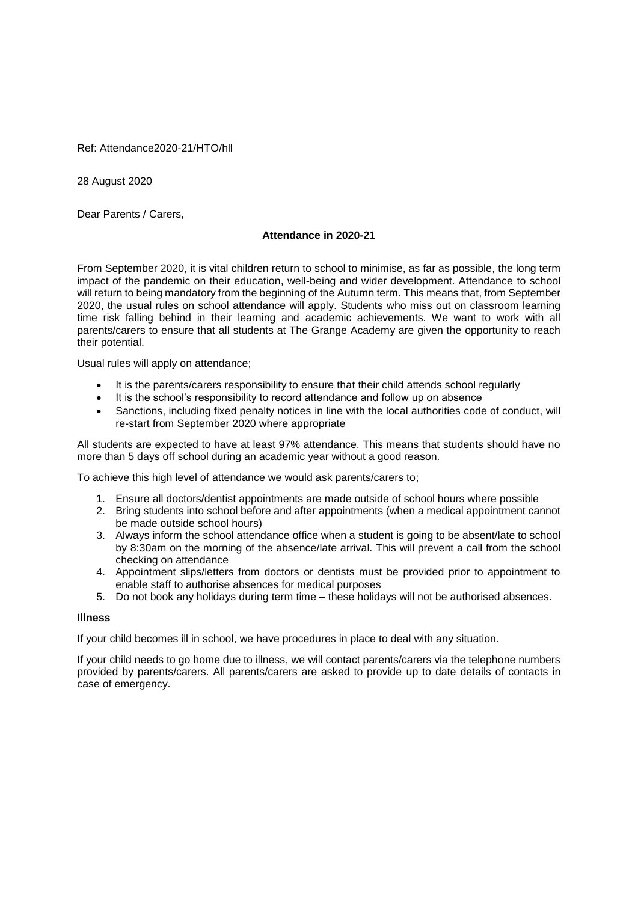Ref: Attendance2020-21/HTO/hll

28 August 2020

Dear Parents / Carers,

## **Attendance in 2020-21**

From September 2020, it is vital children return to school to minimise, as far as possible, the long term impact of the pandemic on their education, well-being and wider development. Attendance to school will return to being mandatory from the beginning of the Autumn term. This means that, from September 2020, the usual rules on school attendance will apply. Students who miss out on classroom learning time risk falling behind in their learning and academic achievements. We want to work with all parents/carers to ensure that all students at The Grange Academy are given the opportunity to reach their potential.

Usual rules will apply on attendance;

- It is the parents/carers responsibility to ensure that their child attends school regularly
- It is the school's responsibility to record attendance and follow up on absence
- Sanctions, including fixed penalty notices in line with the local authorities code of conduct, will re-start from September 2020 where appropriate

All students are expected to have at least 97% attendance. This means that students should have no more than 5 days off school during an academic year without a good reason.

To achieve this high level of attendance we would ask parents/carers to;

- 1. Ensure all doctors/dentist appointments are made outside of school hours where possible
- 2. Bring students into school before and after appointments (when a medical appointment cannot be made outside school hours)
- 3. Always inform the school attendance office when a student is going to be absent/late to school by 8:30am on the morning of the absence/late arrival. This will prevent a call from the school checking on attendance
- 4. Appointment slips/letters from doctors or dentists must be provided prior to appointment to enable staff to authorise absences for medical purposes
- 5. Do not book any holidays during term time these holidays will not be authorised absences.

## **Illness**

If your child becomes ill in school, we have procedures in place to deal with any situation.

If your child needs to go home due to illness, we will contact parents/carers via the telephone numbers provided by parents/carers. All parents/carers are asked to provide up to date details of contacts in case of emergency.